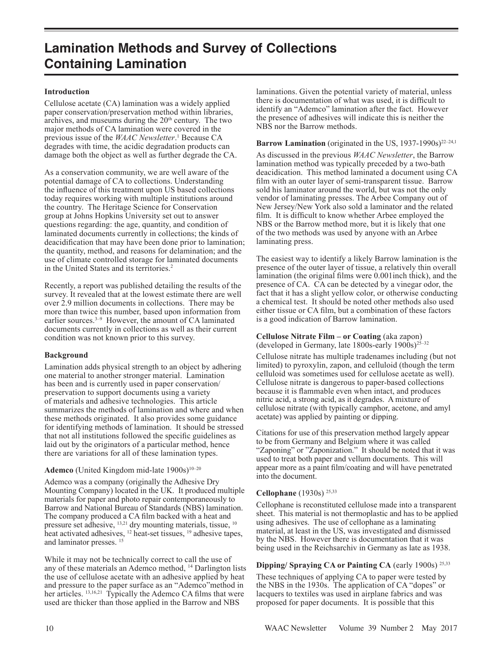# **Introduction**

Cellulose acetate (CA) lamination was a widely applied paper conservation/preservation method within libraries, archives, and museums during the  $20<sup>th</sup>$  century. The two major methods of CA lamination were covered in the previous issue of the *WAAC Newsletter*.<sup>1</sup> Because CA degrades with time, the acidic degradation products can damage both the object as well as further degrade the CA.

As a conservation community, we are well aware of the potential damage of CA to collections. Understanding the influence of this treatment upon US based collections today requires working with multiple institutions around the country. The Heritage Science for Conservation group at Johns Hopkins University set out to answer questions regarding: the age, quantity, and condition of laminated documents currently in collections; the kinds of deacidification that may have been done prior to lamination; the quantity, method, and reasons for delamination; and the use of climate controlled storage for laminated documents in the United States and its territories.<sup>2</sup>

Recently, a report was published detailing the results of the survey. It revealed that at the lowest estimate there are well over 2.9 million documents in collections. There may be more than twice this number, based upon information from earlier sources.<sup>3-9</sup> However, the amount of CA laminated documents currently in collections as well as their current condition was not known prior to this survey.

#### **Background**

Lamination adds physical strength to an object by adhering one material to another stronger material. Lamination has been and is currently used in paper conservation/ preservation to support documents using a variety of materials and adhesive technologies. This article summarizes the methods of lamination and where and when these methods originated. It also provides some guidance for identifying methods of lamination. It should be stressed that not all institutions followed the specific guidelines as laid out by the originators of a particular method, hence there are variations for all of these lamination types.

# Ademco (United Kingdom mid-late 1900s)<sup>10-20</sup>

Ademco was a company (originally the Adhesive Dry Mounting Company) located in the UK. It produced multiple materials for paper and photo repair contemporaneously to Barrow and National Bureau of Standards (NBS) lamination. The company produced a CA film backed with a heat and pressure set adhesive, <sup>13,21</sup> dry mounting materials, tissue, <sup>10</sup> heat activated adhesives, <sup>12</sup> heat-set tissues, <sup>19</sup> adhesive tapes, and laminator presses. 15

While it may not be technically correct to call the use of any of these materials an Ademco method, 14 Darlington lists the use of cellulose acetate with an adhesive applied by heat and pressure to the paper surface as an "Ademco"method in her articles. <sup>13,16,21</sup> Typically the Ademco CA films that were used are thicker than those applied in the Barrow and NBS

laminations. Given the potential variety of material, unless there is documentation of what was used, it is difficult to identify an "Ademco" lamination after the fact. However the presence of adhesives will indicate this is neither the NBS nor the Barrow methods.

# Barrow Lamination (originated in the US, 1937-1990s)<sup>22-24,1</sup>

As discussed in the previous *WAAC Newsletter*, the Barrow lamination method was typically preceded by a two-bath deacidication. This method laminated a document using CA film with an outer layer of semi-transparent tissue. Barrow sold his laminator around the world, but was not the only vendor of laminating presses. The Arbee Company out of New Jersey/New York also sold a laminator and the related film. It is difficult to know whether Arbee employed the NBS or the Barrow method more, but it is likely that one of the two methods was used by anyone with an Arbee laminating press.

The easiest way to identify a likely Barrow lamination is the presence of the outer layer of tissue, a relatively thin overall lamination (the original films were 0.001inch thick), and the presence of CA. CA can be detected by a vinegar odor, the fact that it has a slight yellow color, or otherwise conducting a chemical test. It should be noted other methods also used either tissue or CA film, but a combination of these factors is a good indication of Barrow lamination.

# **Cellulose Nitrate Film – or Coating** (aka zapon) (developed in Germany, late  $1800s$ -early  $1900s$ )<sup>25–32</sup>

Cellulose nitrate has multiple tradenames including (but not limited) to pyroxylin, zapon, and celluloid (though the term celluloid was sometimes used for cellulose acetate as well). Cellulose nitrate is dangerous to paper-based collections because it is flammable even when intact, and produces nitric acid, a strong acid, as it degrades. A mixture of cellulose nitrate (with typically camphor, acetone, and amyl acetate) was applied by painting or dipping.

Citations for use of this preservation method largely appear to be from Germany and Belgium where it was called "Zaponing" or "Zaponization." It should be noted that it was used to treat both paper and vellum documents. This will appear more as a paint film/coating and will have penetrated into the document.

# **Cellophane** (1930s) 25,33

Cellophane is reconstituted cellulose made into a transparent sheet. This material is not thermoplastic and has to be applied using adhesives. The use of cellophane as a laminating material, at least in the US, was investigated and dismissed by the NBS. However there is documentation that it was being used in the Reichsarchiv in Germany as late as 1938.

# **Dipping/ Spraying CA or Painting CA** (early 1900s) 25,33

These techniques of applying CA to paper were tested by the NBS in the 1930s. The application of CA "dopes" or lacquers to textiles was used in airplane fabrics and was proposed for paper documents. It is possible that this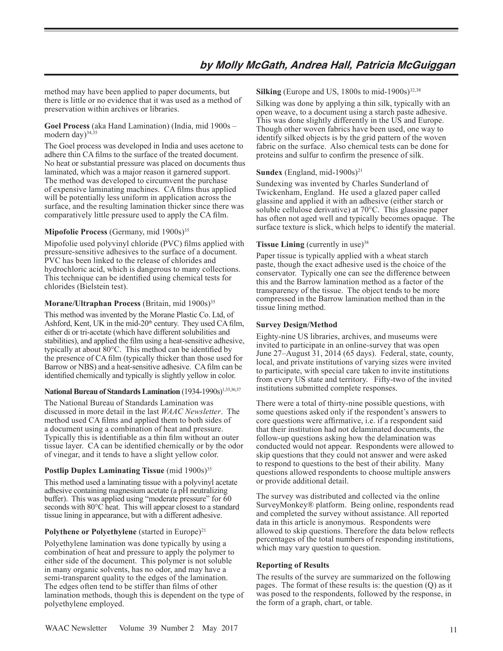method may have been applied to paper documents, but there is little or no evidence that it was used as a method of preservation within archives or libraries.

**Goel Process** (aka Hand Lamination) (India, mid 1900s – modern day $)^{34,35}$ 

The Goel process was developed in India and uses acetone to adhere thin CA films to the surface of the treated document. No heat or substantial pressure was placed on documents thus laminated, which was a major reason it garnered support. The method was developed to circumvent the purchase of expensive laminating machines. CA films thus applied will be potentially less uniform in application across the surface, and the resulting lamination thicker since there was comparatively little pressure used to apply the CA film.

# **Mipofolie Process** (Germany, mid 1900s)<sup>35</sup>

Mipofolie used polyvinyl chloride (PVC) films applied with pressure-sensitive adhesives to the surface of a document. PVC has been linked to the release of chlorides and hydrochloric acid, which is dangerous to many collections. This technique can be identified using chemical tests for chlorides (Bielstein test).

# **Morane/Ultraphan Process** (Britain, mid 1900s)<sup>35</sup>

This method was invented by the Morane Plastic Co. Ltd, of Ashford, Kent, UK in the mid- $20<sup>th</sup>$  century. They used CA film, either di or tri-acetate (which have different solubilities and stabilities), and applied the film using a heat-sensitive adhesive, typically at about 80°C. This method can be identified by the presence of CA film (typically thicker than those used for Barrow or NBS) and a heat-sensitive adhesive. CA film can be identified chemically and typically is slightly yellow in color.

# National Bureau of Standards Lamination (1934-1990s)<sup>1,33,36,37</sup>

The National Bureau of Standards Lamination was discussed in more detail in the last *WAAC Newsletter*. The method used CA films and applied them to both sides of a document using a combination of heat and pressure. Typically this is identifiable as a thin film without an outer tissue layer. CA can be identified chemically or by the odor of vinegar, and it tends to have a slight yellow color.

# **Postlip Duplex Laminating Tissue** (mid 1900s)<sup>35</sup>

This method used a laminating tissue with a polyvinyl acetate adhesive containing magnesium acetate (a pH neutralizing buffer). This was applied using "moderate pressure" for  $\bar{6}0$ seconds with 80°C heat. This will appear closest to a standard tissue lining in appearance, but with a different adhesive.

# **Polythene or Polyethylene** (started in Europe)<sup>21</sup>

Polyethylene lamination was done typically by using a combination of heat and pressure to apply the polymer to either side of the document. This polymer is not soluble in many organic solvents, has no odor, and may have a semi-transparent quality to the edges of the lamination. The edges often tend to be stiffer than films of other lamination methods, though this is dependent on the type of polyethylene employed.

**Silking** (Europe and US,  $1800s$  to mid- $1900s$ )<sup>32,38</sup>

Silking was done by applying a thin silk, typically with an open weave, to a document using a starch paste adhesive. This was done slightly differently in the US and Europe. Though other woven fabrics have been used, one way to identify silked objects is by the grid pattern of the woven fabric on the surface. Also chemical tests can be done for proteins and sulfur to confirm the presence of silk.

# Sundex (England, mid-1900s)<sup>21</sup>

Sundexing was invented by Charles Sunderland of Twickenham, England. He used a glazed paper called glassine and applied it with an adhesive (either starch or soluble cellulose derivative) at 70°C. This glassine paper has often not aged well and typically becomes opaque. The surface texture is slick, which helps to identify the material.

# **Tissue Lining** (currently in use)<sup>38</sup>

Paper tissue is typically applied with a wheat starch paste, though the exact adhesive used is the choice of the conservator. Typically one can see the difference between this and the Barrow lamination method as a factor of the transparency of the tissue. The object tends to be more compressed in the Barrow lamination method than in the tissue lining method.

# **Survey Design/Method**

Eighty-nine US libraries, archives, and museums were invited to participate in an online-survey that was open June 27–August 31, 2014 (65 days). Federal, state, county, local, and private institutions of varying sizes were invited to participate, with special care taken to invite institutions from every US state and territory. Fifty-two of the invited institutions submitted complete responses.

There were a total of thirty-nine possible questions, with some questions asked only if the respondent's answers to core questions were affirmative, i.e. if a respondent said that their institution had not delaminated documents, the follow-up questions asking how the delamination was conducted would not appear. Respondents were allowed to skip questions that they could not answer and were asked to respond to questions to the best of their ability. Many questions allowed respondents to choose multiple answers or provide additional detail.

The survey was distributed and collected via the online SurveyMonkey® platform. Being online, respondents read and completed the survey without assistance. All reported data in this article is anonymous. Respondents were allowed to skip questions. Therefore the data below reflects percentages of the total numbers of responding institutions, which may vary question to question.

# **Reporting of Results**

The results of the survey are summarized on the following pages. The format of these results is: the question (Q) as it was posed to the respondents, followed by the response, in the form of a graph, chart, or table.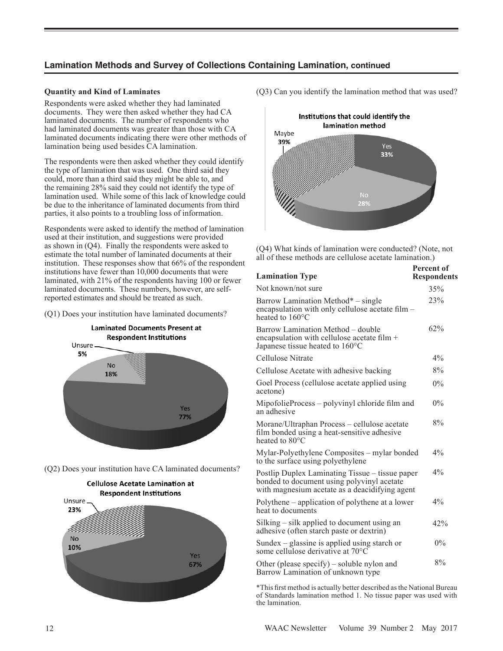# **Quantity and Kind of Laminates**

Respondents were asked whether they had laminated documents. They were then asked whether they had CA laminated documents. The number of respondents who had laminated documents was greater than those with CA laminated documents indicating there were other methods of lamination being used besides CA lamination.

The respondents were then asked whether they could identify the type of lamination that was used. One third said they could, more than a third said they might be able to, and the remaining 28% said they could not identify the type of lamination used. While some of this lack of knowledge could be due to the inheritance of laminated documents from third parties, it also points to a troubling loss of information.

Respondents were asked to identify the method of lamination used at their institution, and suggestions were provided as shown in (Q4). Finally the respondents were asked to estimate the total number of laminated documents at their institution. These responses show that 66% of the respondent institutions have fewer than 10,000 documents that were laminated, with 21% of the respondents having 100 or fewer laminated documents. These numbers, however, are selfreported estimates and should be treated as such.

(Q1) Does your institution have laminated documents?



(Q2) Does your institution have CA laminated documents?



(Q3) Can you identify the lamination method that was used?



(Q4) What kinds of lamination were conducted? (Note, not all of these methods are cellulose acetate lamination.)

| <b>Lamination Type</b>                                                                                                                          | <b>Percent of</b><br><b>Respondents</b> |
|-------------------------------------------------------------------------------------------------------------------------------------------------|-----------------------------------------|
| Not known/not sure                                                                                                                              | 35%                                     |
| Barrow Lamination Method* – single<br>encapsulation with only cellulose acetate film -<br>heated to $160^{\circ}$ C                             | 23%                                     |
| Barrow Lamination Method - double<br>encapsulation with cellulose acetate film +<br>Japanese tissue heated to 160°C                             | 62%                                     |
| Cellulose Nitrate                                                                                                                               | 4%                                      |
| Cellulose Acetate with adhesive backing                                                                                                         | 8%                                      |
| Goel Process (cellulose acetate applied using<br>acetone)                                                                                       | $0\%$                                   |
| MipofolieProcess – polyvinyl chloride film and<br>an adhesive                                                                                   | $0\%$                                   |
| Morane/Ultraphan Process - cellulose acetate<br>film bonded using a heat-sensitive adhesive<br>heated to 80°C                                   | 8%                                      |
| Mylar-Polyethylene Composites – mylar bonded<br>to the surface using polyethylene                                                               | 4%                                      |
| Postlip Duplex Laminating Tissue - tissue paper<br>bonded to document using polyvinyl acetate<br>with magnesium acetate as a deacidifying agent | 4%                                      |
| Polythene – application of polythene at a lower<br>heat to documents                                                                            | 4%                                      |
| Silking - silk applied to document using an<br>adhesive (often starch paste or dextrin)                                                         | 42%                                     |
| Sundex – glassine is applied using starch or<br>some cellulose derivative at 70 <sup>o</sup> C                                                  | $0\%$                                   |
| Other (please specify) - soluble nylon and<br>Barrow Lamination of unknown type                                                                 | 8%                                      |

\*This first method is actually better described as the National Bureau of Standards lamination method 1. No tissue paper was used with the lamination.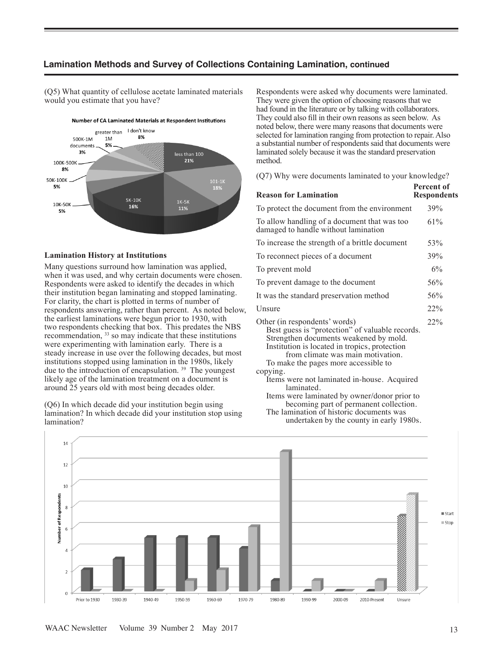(Q5) What quantity of cellulose acetate laminated materials would you estimate that you have?



#### **Lamination History at Institutions**

Many questions surround how lamination was applied, when it was used, and why certain documents were chosen. Respondents were asked to identify the decades in which their institution began laminating and stopped laminating. For clarity, the chart is plotted in terms of number of respondents answering, rather than percent. As noted below, the earliest laminations were begun prior to 1930, with two respondents checking that box. This predates the NBS recommendation, 33 so may indicate that these institutions were experimenting with lamination early. There is a steady increase in use over the following decades, but most institutions stopped using lamination in the 1980s, likely due to the introduction of encapsulation.<sup>39</sup> The youngest likely age of the lamination treatment on a document is around 25 years old with most being decades older.

(Q6) In which decade did your institution begin using lamination? In which decade did your institution stop using lamination?

Respondents were asked why documents were laminated. They were given the option of choosing reasons that we had found in the literature or by talking with collaborators. They could also fill in their own reasons as seen below. As noted below, there were many reasons that documents were selected for lamination ranging from protection to repair. Also a substantial number of respondents said that documents were laminated solely because it was the standard preservation method.

(Q7) Why were documents laminated to your knowledge?

| <b>Reason for Lamination</b>                                                                                                                                                                                                                             | Percent of<br><b>Respondents</b> |
|----------------------------------------------------------------------------------------------------------------------------------------------------------------------------------------------------------------------------------------------------------|----------------------------------|
| To protect the document from the environment                                                                                                                                                                                                             | 39%                              |
| To allow handling of a document that was too<br>damaged to handle without lamination                                                                                                                                                                     | 61%                              |
| To increase the strength of a brittle document                                                                                                                                                                                                           | 53%                              |
| To reconnect pieces of a document                                                                                                                                                                                                                        | 39%                              |
| To prevent mold                                                                                                                                                                                                                                          | 6%                               |
| To prevent damage to the document                                                                                                                                                                                                                        | 56%                              |
| It was the standard preservation method                                                                                                                                                                                                                  | 56%                              |
| Unsure                                                                                                                                                                                                                                                   | 22%                              |
| Other (in respondents' words)<br>Best guess is "protection" of valuable records.<br>Strengthen documents weakened by mold.<br>Institution is located in tropics, protection<br>from climate was main motivation.<br>To make the pages more accessible to | 22%                              |
| copying.<br>Items were not laminated in-house. Acquired<br>laminated.<br>Items were laminated by owner/donor prior to<br>becoming part of permanent collection.                                                                                          |                                  |
| The lamination of historic documents was                                                                                                                                                                                                                 |                                  |

undertaken by the county in early 1980s.

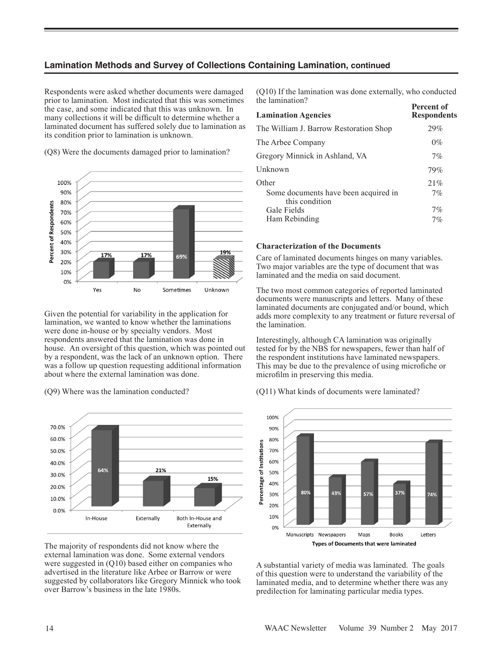Respondents were asked whether documents were damaged prior to lamination. Most indicated that this was sometimes the case, and some indicated that this was unknown. In many collections it will be difficult to determine whether a laminated document has suffered solely due to lamination as its condition prior to lamination is unknown.

(Q8) Were the documents damaged prior to lamination?



Given the potential for variability in the application for lamination, we wanted to know whether the laminations were done in-house or by specialty vendors. Most respondents answered that the lamination was done in house. An oversight of this question, which was pointed out by a respondent, was the lack of an unknown option. There was a follow up question requesting additional information about where the external lamination was done.

(Q9) Where was the lamination conducted?



The majority of respondents did not know where the external lamination was done. Some external vendors were suggested in (Q10) based either on companies who advertised in the literature like Arbee or Barrow or were suggested by collaborators like Gregory Minnick who took over Barrow's business in the late 1980s.

(Q10) If the lamination was done externally, who conducted the lamination?

| <b>Lamination Agencies</b>                             | Percent of<br><b>Respondents</b> |
|--------------------------------------------------------|----------------------------------|
| The William J. Barrow Restoration Shop                 | 29%                              |
| The Arbee Company                                      | $0\%$                            |
| Gregory Minnick in Ashland, VA                         | 7%                               |
| Unknown                                                | 79%                              |
| Other                                                  | 21%                              |
| Some documents have been acquired in<br>this condition | $7\%$                            |
| Gale Fields                                            | 7%                               |
| Ham Rebinding                                          | 7%                               |

#### **Characterization of the Documents**

Care of laminated documents hinges on many variables. Two major variables are the type of document that was laminated and the media on said document.

The two most common categories of reported laminated documents were manuscripts and letters. Many of these laminated documents are conjugated and/or bound, which adds more complexity to any treatment or future reversal of the lamination.

Interestingly, although CA lamination was originally tested for by the NBS for newspapers, fewer than half of the respondent institutions have laminated newspapers. This may be due to the prevalence of using microfiche or microfilm in preserving this media.

(Q11) What kinds of documents were laminated?



A substantial variety of media was laminated. The goals of this question were to understand the variability of the laminated media, and to determine whether there was any predilection for laminating particular media types.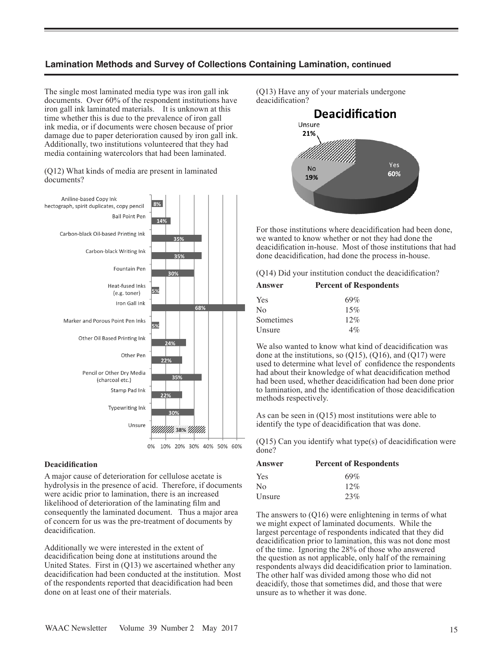The single most laminated media type was iron gall ink documents. Over 60% of the respondent institutions have iron gall ink laminated materials. It is unknown at this time whether this is due to the prevalence of iron gall ink media, or if documents were chosen because of prior damage due to paper deterioration caused by iron gall ink. Additionally, two institutions volunteered that they had media containing watercolors that had been laminated.

(Q12) What kinds of media are present in laminated documents?



0% 10% 20% 30% 40% 50% 60%

#### **Deacidification**

A major cause of deterioration for cellulose acetate is hydrolysis in the presence of acid. Therefore, if documents were acidic prior to lamination, there is an increased likelihood of deterioration of the laminating film and consequently the laminated document. Thus a major area of concern for us was the pre-treatment of documents by deacidification.

Additionally we were interested in the extent of deacidification being done at institutions around the United States. First in (Q13) we ascertained whether any deacidification had been conducted at the institution. Most of the respondents reported that deacidification had been done on at least one of their materials.

(Q13) Have any of your materials undergone deacidification?



For those institutions where deacidification had been done, we wanted to know whether or not they had done the deacidification in-house. Most of those institutions that had done deacidification, had done the process in-house.

|  |  |  | (Q14) Did your institution conduct the deacidification? |
|--|--|--|---------------------------------------------------------|
|--|--|--|---------------------------------------------------------|

| Answer         | <b>Percent of Respondents</b> |
|----------------|-------------------------------|
| Yes            | 69%                           |
| N <sub>0</sub> | 15%                           |
| Sometimes      | 12%                           |
| Unsure         | $4\%$                         |

We also wanted to know what kind of deacidification was done at the institutions, so  $(O15)$ ,  $(O16)$ , and  $(O17)$  were used to determine what level of confidence the respondents had about their knowledge of what deacidification method had been used, whether deacidification had been done prior to lamination, and the identification of those deacidification methods respectively.

As can be seen in (Q15) most institutions were able to identify the type of deacidification that was done.

(Q15) Can you identify what type(s) of deacidification were done?

| Answer         | <b>Percent of Respondents</b> |
|----------------|-------------------------------|
| Yes            | $69\%$                        |
| N <sub>0</sub> | 12%                           |
| Unsure         | 23%                           |

The answers to (Q16) were enlightening in terms of what we might expect of laminated documents. While the largest percentage of respondents indicated that they did deacidification prior to lamination, this was not done most of the time. Ignoring the 28% of those who answered the question as not applicable, only half of the remaining respondents always did deacidification prior to lamination. The other half was divided among those who did not deacidify, those that sometimes did, and those that were unsure as to whether it was done.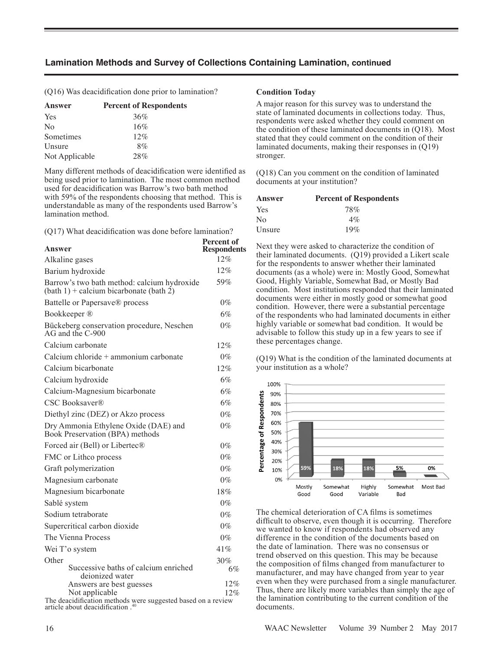(Q16) Was deacidification done prior to lamination? **Condition Today**

| Answer         | <b>Percent of Respondents</b> |
|----------------|-------------------------------|
| Yes            | 36%                           |
| N <sub>0</sub> | 16%                           |
| Sometimes      | 12%                           |
| Unsure         | 8%                            |
| Not Applicable | 28%                           |

Many different methods of deacidification were identified as being used prior to lamination. The most common method used for deacidification was Barrow's two bath method with 59% of the respondents choosing that method. This is understandable as many of the respondents used Barrow's lamination method.

(Q17) What deacidification was done before lamination?

| Answer                                                                                   | <b>Percent of</b><br><b>Respondents</b> |
|------------------------------------------------------------------------------------------|-----------------------------------------|
| Alkaline gases                                                                           | 12%                                     |
| Barium hydroxide                                                                         | 12%                                     |
| Barrow's two bath method: calcium hydroxide<br>$(bath 1) + calcium bicarbonate (bath 2)$ | 59%                                     |
| Battelle or Papersave® process                                                           | $0\%$                                   |
| Bookkeeper ®                                                                             | 6%                                      |
| Bückeberg conservation procedure, Neschen<br>AG and the C-900                            | $0\%$                                   |
| Calcium carbonate                                                                        | 12%                                     |
| Calcium chloride + ammonium carbonate                                                    | $0\%$                                   |
| Calcium bicarbonate                                                                      | 12%                                     |
| Calcium hydroxide                                                                        | $6\%$                                   |
| Calcium-Magnesium bicarbonate                                                            | 6%                                      |
| CSC Booksaver®                                                                           | 6%                                      |
| Diethyl zinc (DEZ) or Akzo process                                                       | $0\%$                                   |
| Dry Ammonia Ethylene Oxide (DAE) and<br>Book Preservation (BPA) methods                  | $0\%$                                   |
| Forced air (Bell) or Libertec®                                                           | $0\%$                                   |
| FMC or Lithco process                                                                    | $0\%$                                   |
| Graft polymerization                                                                     | $0\%$                                   |
| Magnesium carbonate                                                                      | $0\%$                                   |
| Magnesium bicarbonate                                                                    | 18%                                     |
| Sablé system                                                                             | $0\%$                                   |
| Sodium tetraborate                                                                       | $0\%$                                   |
| Supercritical carbon dioxide                                                             | $0\%$                                   |
| The Vienna Process                                                                       | $0\%$                                   |
| Wei T'o system                                                                           | 41%                                     |
| Other                                                                                    | 30%                                     |
| Successive baths of calcium enriched<br>deionized water                                  | 6%                                      |
| Answers are best guesses<br>Not applicable                                               | 12%<br>12%                              |

The deacidification methods were suggested based on a review article about deacidification .<sup>4</sup>

A major reason for this survey was to understand the state of laminated documents in collections today. Thus, respondents were asked whether they could comment on the condition of these laminated documents in (Q18). Most stated that they could comment on the condition of their laminated documents, making their responses in (Q19) stronger.

(Q18) Can you comment on the condition of laminated documents at your institution?

| Answer         | <b>Percent of Respondents</b> |
|----------------|-------------------------------|
| Yes            | 78%                           |
| N <sub>0</sub> | $4\%$                         |
| Unsure         | 19%                           |

Next they were asked to characterize the condition of their laminated documents. (Q19) provided a Likert scale for the respondents to answer whether their laminated documents (as a whole) were in: Mostly Good, Somewhat Good, Highly Variable, Somewhat Bad, or Mostly Bad condition. Most institutions responded that their laminated documents were either in mostly good or somewhat good condition. However, there were a substantial percentage of the respondents who had laminated documents in either highly variable or somewhat bad condition. It would be advisable to follow this study up in a few years to see if these percentages change.

(Q19) What is the condition of the laminated documents at your institution as a whole?



The chemical deterioration of CA films is sometimes difficult to observe, even though it is occurring. Therefore we wanted to know if respondents had observed any difference in the condition of the documents based on the date of lamination. There was no consensus or trend observed on this question. This may be because the composition of films changed from manufacturer to manufacturer, and may have changed from year to year even when they were purchased from a single manufacturer. Thus, there are likely more variables than simply the age of the lamination contributing to the current condition of the documents.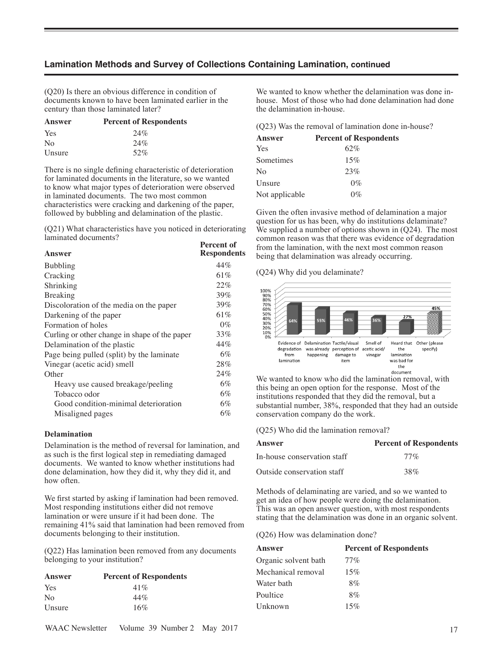(Q20) Is there an obvious difference in condition of documents known to have been laminated earlier in the century than those laminated later?

| Answer         | <b>Percent of Respondents</b> |
|----------------|-------------------------------|
| Yes            | 24%                           |
| N <sub>0</sub> | 24%                           |
| Unsure         | 52%                           |
|                |                               |

There is no single defining characteristic of deterioration for laminated documents in the literature, so we wanted to know what major types of deterioration were observed in laminated documents. The two most common characteristics were cracking and darkening of the paper, followed by bubbling and delamination of the plastic.

(Q21) What characteristics have you noticed in deteriorating laminated documents? **Percent of** 

| Answer                                        | гегсен ог<br><b>Respondents</b> |
|-----------------------------------------------|---------------------------------|
| <b>Bubbling</b>                               | 44%                             |
| Cracking                                      | 61%                             |
| Shrinking                                     | 22%                             |
| Breaking                                      | 39%                             |
| Discoloration of the media on the paper       | 39%                             |
| Darkening of the paper                        | 61%                             |
| Formation of holes                            | $0\%$                           |
| Curling or other change in shape of the paper | 33%                             |
| Delamination of the plastic                   | 44%                             |
| Page being pulled (split) by the laminate     | $6\%$                           |
| Vinegar (acetic acid) smell                   | 28%                             |
| Other                                         | 24%                             |
| Heavy use caused breakage/peeling             | $6\%$                           |
| Tobacco odor                                  | $6\%$                           |
| Good condition-minimal deterioration          | 6%                              |
| Misaligned pages                              | 6%                              |
|                                               |                                 |

#### **Delamination**

Delamination is the method of reversal for lamination, and as such is the first logical step in remediating damaged documents. We wanted to know whether institutions had done delamination, how they did it, why they did it, and how often.

We first started by asking if lamination had been removed. Most responding institutions either did not remove lamination or were unsure if it had been done. The remaining 41% said that lamination had been removed from documents belonging to their institution.

(Q22) Has lamination been removed from any documents belonging to your institution?

| Answer         | <b>Percent of Respondents</b> |
|----------------|-------------------------------|
| Yes            | 41%                           |
| N <sub>0</sub> | 44%                           |
| Unsure         | 16%                           |

We wanted to know whether the delamination was done inhouse. Most of those who had done delamination had done the delamination in-house.

(Q23) Was the removal of lamination done in-house?

| Answer         | <b>Percent of Respondents</b> |
|----------------|-------------------------------|
| Yes            | 62%                           |
| Sometimes      | 15%                           |
| No             | 23%                           |
| Unsure         | $0\%$                         |
| Not applicable | $0\%$                         |

Given the often invasive method of delamination a major question for us has been, why do institutions delaminate? We supplied a number of options shown in  $(Q24)$ . The most common reason was that there was evidence of degradation from the lamination, with the next most common reason being that delamination was already occurring.

(Q24) Why did you delaminate?



We wanted to know who did the lamination removal, with this being an open option for the response. Most of the institutions responded that they did the removal, but a substantial number, 38%, responded that they had an outside conservation company do the work.

(Q25) Who did the lamination removal?

| Answer                      | <b>Percent of Respondents</b> |
|-----------------------------|-------------------------------|
| In-house conservation staff | $77\%$                        |
| Outside conservation staff  | 38%                           |

Methods of delaminating are varied, and so we wanted to get an idea of how people were doing the delamination. This was an open answer question, with most respondents stating that the delamination was done in an organic solvent.

(Q26) How was delamination done?

| Answer               | <b>Percent of Respondents</b> |
|----------------------|-------------------------------|
| Organic solvent bath | $77\%$                        |
| Mechanical removal   | 15%                           |
| Water bath           | 8%                            |
| Poultice             | $8\%$                         |
| Unknown              | 15%                           |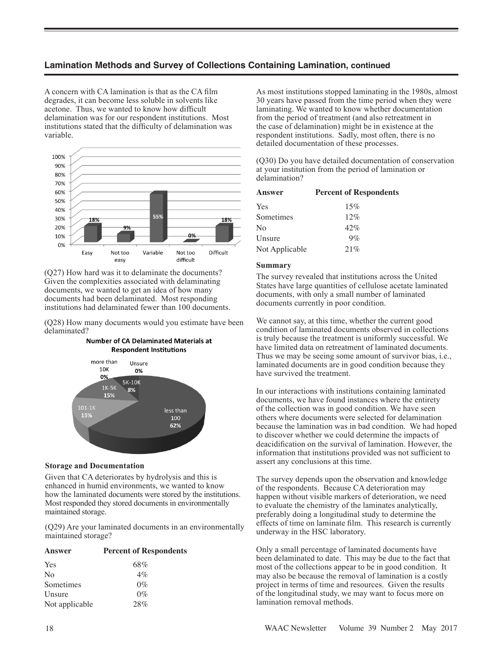A concern with CA lamination is that as the CA film degrades, it can become less soluble in solvents like acetone. Thus, we wanted to know how difficult delamination was for our respondent institutions. Most institutions stated that the difficulty of delamination was variable.



(Q27) How hard was it to delaminate the documents? Given the complexities associated with delaminating documents, we wanted to get an idea of how many documents had been delaminated. Most responding institutions had delaminated fewer than 100 documents.

(Q28) How many documents would you estimate have been delaminated?

#### **Number of CA Delaminated Materials at Respondent Institutions**



#### **Storage and Documentation**

Given that CA deteriorates by hydrolysis and this is enhanced in humid environments, we wanted to know how the laminated documents were stored by the institutions. Most responded they stored documents in environmentally maintained storage.

(Q29) Are your laminated documents in an environmentally maintained storage?

| <b>Answer</b>  | <b>Percent of Respondents</b> |
|----------------|-------------------------------|
| Yes            | 68%                           |
| N <sub>o</sub> | $4\%$                         |
| Sometimes      | $0\%$                         |
| Unsure         | $0\%$                         |
| Not applicable | 28%                           |

As most institutions stopped laminating in the 1980s, almost 30 years have passed from the time period when they were laminating. We wanted to know whether documentation from the period of treatment (and also retreatment in the case of delamination) might be in existence at the respondent institutions. Sadly, most often, there is no detailed documentation of these processes.

(Q30) Do you have detailed documentation of conservation at your institution from the period of lamination or delamination?

| <b>Answer</b>  | <b>Percent of Respondents</b> |
|----------------|-------------------------------|
| Yes            | 15%                           |
| Sometimes      | 12%                           |
| No             | 42%                           |
| Unsure         | $9\%$                         |
| Not Applicable | 21%                           |

#### **Summary**

The survey revealed that institutions across the United States have large quantities of cellulose acetate laminated documents, with only a small number of laminated documents currently in poor condition.

We cannot say, at this time, whether the current good condition of laminated documents observed in collections is truly because the treatment is uniformly successful. We have limited data on retreatment of laminated documents. Thus we may be seeing some amount of survivor bias, i.e., laminated documents are in good condition because they have survived the treatment.

In our interactions with institutions containing laminated documents, we have found instances where the entirety of the collection was in good condition. We have seen others where documents were selected for delamination because the lamination was in bad condition. We had hoped to discover whether we could determine the impacts of deacidification on the survival of lamination. However, the information that institutions provided was not sufficient to assert any conclusions at this time.

The survey depends upon the observation and knowledge of the respondents. Because CA deterioration may happen without visible markers of deterioration, we need to evaluate the chemistry of the laminates analytically, preferably doing a longitudinal study to determine the effects of time on laminate film. This research is currently underway in the HSC laboratory.

Only a small percentage of laminated documents have been delaminated to date. This may be due to the fact that most of the collections appear to be in good condition. It may also be because the removal of lamination is a costly project in terms of time and resources. Given the results of the longitudinal study, we may want to focus more on lamination removal methods.